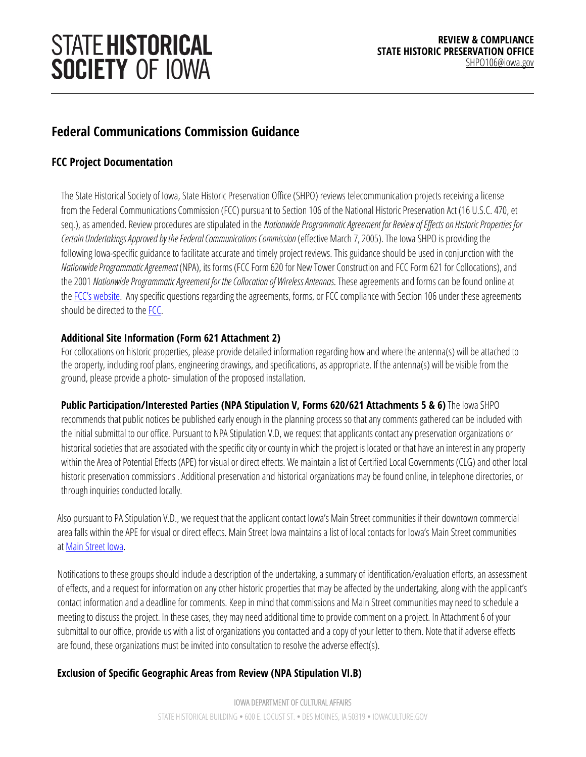# **STATE HISTORICAL SOCIETY OF IOWA**

# **Federal Communications Commission Guidance**

# **FCC Project Documentation**

The State Historical Society of Iowa, State Historic Preservation Office (SHPO) reviews telecommunication projects receivinga license from the Federal Communications Commission (FCC) pursuant to Section 106 of the National Historic Preservation Act (16 U.S.C. 470, et seq.), as amended. Review procedures are stipulated in the *Nationwide Programmatic Agreement for Review of Effects on Historic Properties for Certain Undertakings Approved by the Federal Communications Commission* (effective March 7, 2005). The Iowa SHPO is providing the following Iowa-specific guidance to facilitate accurate and timely project reviews. This guidance should be used in conjunction with the *NationwideProgrammaticAgreement* (NPA), its forms (FCC Form 620 for New Tower Construction and FCC Form 621 for Collocations), and the 2001 *Nationwide Programmatic Agreement for the Collocationof WirelessAntennas*. These agreements and forms can be found online at th[e FCC's website.](https://www.fcc.gov/encyclopedia/tower-and-antenna-siting) Any specific questions regarding the agreements, forms, or FCC compliance with Section 106 under these agreements should be directed to the FCC.

#### **Additional Site Information (Form 621 Attachment 2)**

For collocations on historic properties, please provide detailed information regarding how and where the antenna(s) will be attached to the property, including roof plans, engineering drawings, and specifications, as appropriate. If the antenna(s) will be visible from the ground, please provide a photo- simulation of the proposed installation.

**Public Participation/Interested Parties (NPA Stipulation V, Forms 620/621 Attachments 5 & 6)** The Iowa SHPO recommends that public notices be published early enough in the planning process so that any comments gathered can be included with the initial submittal to our office. Pursuant to NPA Stipulation V.D, we request that applicants contact any preservation organizations or historical societies that are associated with the specific city or county in which the project is located or that have an interest in any property within the Area of Potential Effects (APE) for visual or direct effects. We maintain a list of Certified Local Governments (CLG) and other local historic preservation commissions . Additional preservation and historical organizations may be found online, in telephone directories, or through inquiries conducted locally.

Also pursuant to PA Stipulation V.D., we request that the applicant contact Iowa's Main Street communities if their downtown commercial area falls within the APE for visual or direct effects. Main Street Iowa maintains a list of local contacts for Iowa's Main Street communities a[t Main Street Iowa.](http://www.iowaeconomicdevelopment.com/MainStreetIowa)

Notifications to these groups should include a description of the undertaking, a summary of identification/evaluation efforts, an assessment of effects, and a request for information on any other historic properties that may be affected by the undertaking, along with the applicant's contact information and a deadline for comments. Keep in mind that commissionsand Main Street communities may need to schedulea meeting to discuss the project. In these cases, they may need additional time to provide comment on a project. In Attachment 6 of your submittal to our office, provide us with a list of organizations you contacted and a copy of your letter to them. Note that if adverse effects are found, these organizations must be invited into consultation to resolve the adverse effect(s).

## **Exclusion of Specific Geographic Areas from Review (NPA Stipulation VI.B)**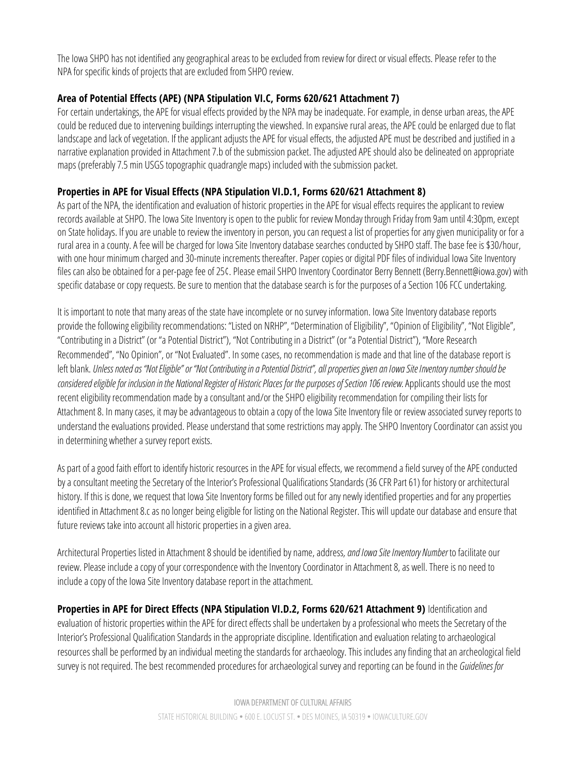The Iowa SHPO has not identified any geographical areas to be excluded from review for direct or visual effects. Please refer to the NPA for specific kinds of projects that are excluded from SHPO review.

### **Area of Potential Effects (APE) (NPA Stipulation VI.C, Forms 620/621 Attachment 7)**

For certain undertakings, the APE for visual effects provided by the NPA may be inadequate. For example, in dense urban areas, the APE could be reduced due to intervening buildings interrupting the viewshed. In expansive rural areas, the APE could be enlarged due to flat landscape and lack of vegetation. If the applicant adjusts the APE for visual effects, the adjusted APE must be described and justified in a narrative explanation provided in Attachment 7.b of the submission packet. The adjusted APE should also be delineated on appropriate maps (preferably 7.5 min USGS topographic quadrangle maps) included with the submission packet.

#### **Properties in APE for Visual Effects (NPA Stipulation VI.D.1, Forms 620/621 Attachment 8)**

As part of the NPA, the identification and evaluation of historic properties in the APE for visual effects requires the applicant to review records available at SHPO. The Iowa Site Inventory is open to the public for review Monday through Friday from 9am until 4:30pm, except on State holidays. If you are unable to review the inventory in person, you can request a list of properties for any given municipality or for a rural area in a county. A fee will be charged for Iowa Site Inventory database searches conducted by SHPO staff. The base fee is \$30/hour, with one hour minimum charged and 30-minute increments thereafter. Paper copies or digital PDF files of individual Iowa Site Inventory files can also be obtained for a per-page fee of 25¢. Please email SHPO Inventory Coordinator Berry Bennett (Berry.Bennett@iowa.gov) with specific database or copy requests. Be sure to mention that the database search is for the purposes of a Section 106 FCC undertaking.

It is important to note that many areas of the state have incomplete or no survey information. Iowa Site Inventory database reports provide the following eligibility recommendations: "Listed on NRHP", "Determination of Eligibility", "Opinion of Eligibility", "Not Eligible", "Contributingin a District" (or "a Potential District"), "Not Contributing in a District" (or "a Potential District"), "More Research Recommended", "No Opinion", or "Not Evaluated". In some cases, no recommendation is made and that line of the databasereport is left blank. Unless noted as "Not Eligible" or "Not Contributing in a Potential District", all properties given an Iowa Site Inventory number should be *consideredeligiblefor inclusioninthe NationalRegisterof HistoricPlaces for thepurposesofSection106review.*Applicants should use the most recent eligibility recommendation made by a consultant and/or the SHPO eligibility recommendation for compiling their lists for Attachment 8. In many cases, it may be advantageous to obtain a copy of the Iowa Site Inventory file or review associated survey reports to understand the evaluations provided. Please understand that somerestrictions may apply. The SHPO Inventory Coordinator can assist you in determining whether a survey report exists.

As part of a good faith effort to identify historic resources in the APE for visual effects, we recommend a field survey of the APE conducted by a consultant meeting the Secretary of the Interior's Professional Qualifications Standards (36 CFR Part 61) for history or architectural history. If this is done, we request that Iowa Site Inventory forms be filled out for any newly identified properties and for any properties identified in Attachment 8.c as no longer being eligible for listing on the National Register. This will update our database and ensure that future reviews take into account all historic properties in a given area.

Architectural Properties listed in Attachment 8 should beidentified by name, address*, and Iowa Site Inventory Number* to facilitate our review. Please include a copy of your correspondence with the Inventory Coordinator in Attachment 8, as well. There is no need to include a copy of the Iowa Site Inventory database report in the attachment.

**Properties in APE for Direct Effects (NPA Stipulation VI.D.2, Forms 620/621 Attachment 9)** Identification and evaluation of historic properties within the APE for direct effects shall be undertaken by a professional who meets the Secretary of the Interior's Professional Qualification Standards in the appropriate discipline. Identification and evaluation relating to archaeological resources shall be performed by an individual meeting the standards for archaeology. This includes any finding that an archeological field survey is not required. The best recommended procedures for archaeological survey and reporting can be found in the *Guidelines for*